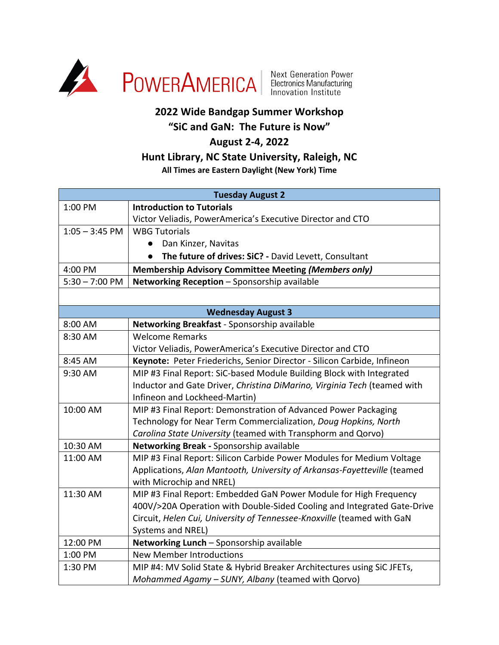

## **2022 Wide Bandgap Summer Workshop**

# **"SiC and GaN: The Future is Now"**

## **August 2-4, 2022**

### **Hunt Library, NC State University, Raleigh, NC**

#### **All Times are Eastern Daylight (New York) Time**

| <b>Tuesday August 2</b> |                                                                          |
|-------------------------|--------------------------------------------------------------------------|
| 1:00 PM                 | <b>Introduction to Tutorials</b>                                         |
|                         | Victor Veliadis, PowerAmerica's Executive Director and CTO               |
| $1:05 - 3:45$ PM        | <b>WBG Tutorials</b>                                                     |
|                         | Dan Kinzer, Navitas<br>$\bullet$                                         |
|                         | The future of drives: SiC? - David Levett, Consultant                    |
| 4:00 PM                 | Membership Advisory Committee Meeting (Members only)                     |
| $5:30 - 7:00$ PM        | Networking Reception - Sponsorship available                             |
|                         |                                                                          |
|                         | <b>Wednesday August 3</b>                                                |
| 8:00 AM                 | Networking Breakfast - Sponsorship available                             |
| 8:30 AM                 | <b>Welcome Remarks</b>                                                   |
|                         | Victor Veliadis, PowerAmerica's Executive Director and CTO               |
| 8:45 AM                 | Keynote: Peter Friederichs, Senior Director - Silicon Carbide, Infineon  |
| 9:30 AM                 | MIP #3 Final Report: SiC-based Module Building Block with Integrated     |
|                         | Inductor and Gate Driver, Christina DiMarino, Virginia Tech (teamed with |
|                         | Infineon and Lockheed-Martin)                                            |
| 10:00 AM                | MIP #3 Final Report: Demonstration of Advanced Power Packaging           |
|                         | Technology for Near Term Commercialization, Doug Hopkins, North          |
|                         | Carolina State University (teamed with Transphorm and Qorvo)             |
| 10:30 AM                | Networking Break - Sponsorship available                                 |
| 11:00 AM                | MIP #3 Final Report: Silicon Carbide Power Modules for Medium Voltage    |
|                         | Applications, Alan Mantooth, University of Arkansas-Fayetteville (teamed |
|                         | with Microchip and NREL)                                                 |
| 11:30 AM                | MIP #3 Final Report: Embedded GaN Power Module for High Frequency        |
|                         | 400V/>20A Operation with Double-Sided Cooling and Integrated Gate-Drive  |
|                         | Circuit, Helen Cui, University of Tennessee-Knoxville (teamed with GaN   |
|                         | Systems and NREL)                                                        |
| 12:00 PM                | Networking Lunch - Sponsorship available                                 |
| 1:00 PM                 | <b>New Member Introductions</b>                                          |
| 1:30 PM                 | MIP #4: MV Solid State & Hybrid Breaker Architectures using SiC JFETs,   |
|                         | Mohammed Agamy - SUNY, Albany (teamed with Qorvo)                        |